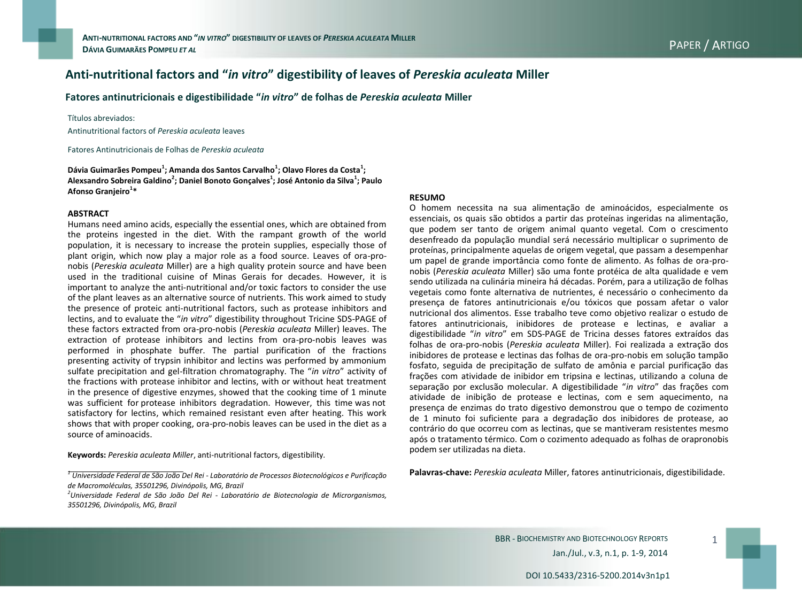# **Anti-nutritional factors and "***in vitro***" digestibility of leaves of** *Pereskia aculeata* **Miller**

**Fatores antinutricionais e digestibilidade "***in vitro***" de folhas de** *Pereskia aculeata* **Miller**

#### Títulos abreviados:

Antinutritional factors of *Pereskia aculeata* leaves

Fatores Antinutricionais de Folhas de *Pereskia aculeata*

**Dávia Guimarães Pompeu<sup>1</sup> ; Amanda dos Santos Carvalho<sup>1</sup> ; Olavo Flores da Costa<sup>1</sup> ; Alexsandro Sobreira Galdino<sup>2</sup> ; Daniel Bonoto Gonçalves<sup>1</sup> ; José Antonio da Silva<sup>1</sup> ; Paulo Afonso Granjeiro<sup>1</sup> \***

#### **ABSTRACT**

Humans need amino acids, especially the essential ones, which are obtained from the proteins ingested in the diet. With the rampant growth of the world population, it is necessary to increase the protein supplies, especially those of plant origin, which now play a major role as a food source. Leaves of ora-pronobis (*Pereskia aculeata* Miller) are a high quality protein source and have been used in the traditional cuisine of Minas Gerais for decades. However, it is important to analyze the anti-nutritional and/or toxic factors to consider the use of the plant leaves as an alternative source of nutrients. This work aimed to study the presence of proteic anti-nutritional factors, such as protease inhibitors and lectins, and to evaluate the "*in vitro*" digestibility throughout Tricine SDS-PAGE of these factors extracted from ora-pro-nobis (*Pereskia aculeata* Miller) leaves. The extraction of protease inhibitors and lectins from ora-pro-nobis leaves was performed in phosphate buffer. The partial purification of the fractions presenting activity of trypsin inhibitor and lectins was performed by ammonium sulfate precipitation and gel-filtration chromatography. The "*in vitro*" activity of the fractions with protease inhibitor and lectins, with or without heat treatment in the presence of digestive enzymes, showed that the cooking time of 1 minute was sufficient for protease inhibitors degradation. However, this time was not satisfactory for lectins, which remained resistant even after heating. This work shows that with proper cooking, ora-pro-nobis leaves can be used in the diet as a source of aminoacids.

**Keywords:** *Pereskia aculeata Miller*, anti-nutritional factors, digestibility*.*

#### **RESUMO**

O homem necessita na sua alimentação de aminoácidos, especialmente os essenciais, os quais são obtidos a partir das proteínas ingeridas na alimentação, que podem ser tanto de origem animal quanto vegetal. Com o crescimento desenfreado da população mundial será necessário multiplicar o suprimento de proteínas, principalmente aquelas de origem vegetal, que passam a desempenhar um papel de grande importância como fonte de alimento. As folhas de ora-pronobis (*Pereskia aculeata* Miller) são uma fonte protéica de alta qualidade e vem sendo utilizada na culinária mineira há décadas. Porém, para a utilização de folhas vegetais como fonte alternativa de nutrientes, é necessário o conhecimento da presença de fatores antinutricionais e/ou tóxicos que possam afetar o valor nutricional dos alimentos. Esse trabalho teve como objetivo realizar o estudo de fatores antinutricionais, inibidores de protease e lectinas, e avaliar a digestibilidade "*in vitro*" em SDS-PAGE de Tricina desses fatores extraídos das folhas de ora-pro-nobis (*Pereskia aculeata* Miller). Foi realizada a extração dos inibidores de protease e lectinas das folhas de ora-pro-nobis em solução tampão fosfato, seguida de precipitação de sulfato de amônia e parcial purificação das frações com atividade de inibidor em tripsina e lectinas, utilizando a coluna de separação por exclusão molecular. A digestibilidade "*in vitro*" das frações com atividade de inibição de protease e lectinas, com e sem aquecimento, na presença de enzimas do trato digestivo demonstrou que o tempo de cozimento de 1 minuto foi suficiente para a degradação dos inibidores de protease, ao contrário do que ocorreu com as lectinas, que se mantiveram resistentes mesmo após o tratamento térmico. Com o cozimento adequado as folhas de orapronobis podem ser utilizadas na dieta.

**Palavras-chave:** *Pereskia aculeata* Miller, fatores antinutricionais, digestibilidade*.*

*<sup>1</sup> Universidade Federal de São João Del Rei - Laboratório de Processos Biotecnológicos e Purificação de Macromoléculas, 35501296, Divinópolis, MG, Brazil*

*<sup>2</sup>Universidade Federal de São João Del Rei - Laboratório de Biotecnologia de Microrganismos, 35501296, Divinópolis, MG, Brazil*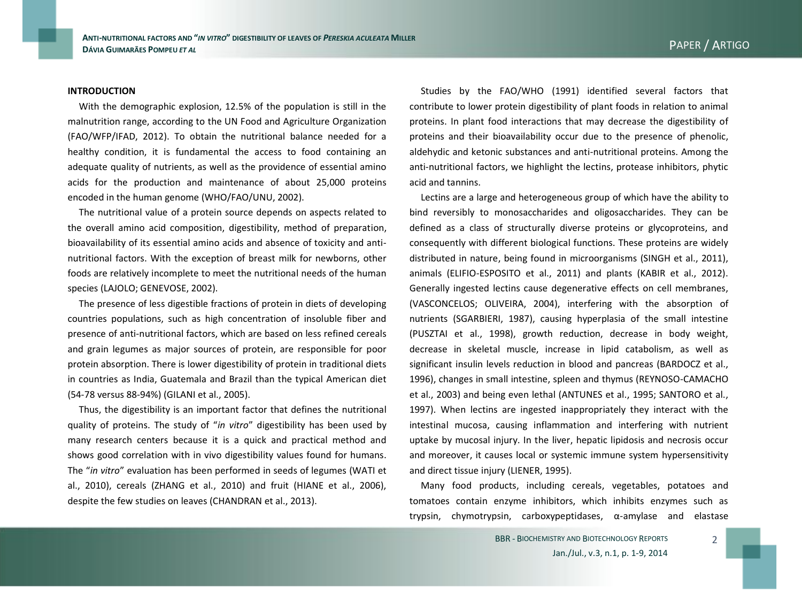#### **INTRODUCTION**

With the demographic explosion, 12.5% of the population is still in the malnutrition range, according to the UN Food and Agriculture Organization (FAO/WFP/IFAD, 2012). To obtain the nutritional balance needed for a healthy condition, it is fundamental the access to food containing an adequate quality of nutrients, as well as the providence of essential amino acids for the production and maintenance of about 25,000 proteins encoded in the human genome (WHO/FAO/UNU, 2002).

The nutritional value of a protein source depends on aspects related to the overall amino acid composition, digestibility, method of preparation, bioavailability of its essential amino acids and absence of toxicity and antinutritional factors. With the exception of breast milk for newborns, other foods are relatively incomplete to meet the nutritional needs of the human species (LAJOLO; GENEVOSE, 2002).

The presence of less digestible fractions of protein in diets of developing countries populations, such as high concentration of insoluble fiber and presence of anti-nutritional factors, which are based on less refined cereals and grain legumes as major sources of protein, are responsible for poor protein absorption. There is lower digestibility of protein in traditional diets in countries as India, Guatemala and Brazil than the typical American diet (54-78 versus 88-94%) (GILANI et al., 2005).

Thus, the digestibility is an important factor that defines the nutritional quality of proteins. The study of "*in vitro*" digestibility has been used by many research centers because it is a quick and practical method and shows good correlation with in vivo digestibility values found for humans. The "*in vitro*" evaluation has been performed in seeds of legumes (WATI et al., 2010), cereals (ZHANG et al., 2010) and fruit (HIANE et al., 2006), despite the few studies on leaves (CHANDRAN et al., 2013).

Studies by the FAO/WHO (1991) identified several factors that contribute to lower protein digestibility of plant foods in relation to animal proteins. In plant food interactions that may decrease the digestibility of proteins and their bioavailability occur due to the presence of phenolic, aldehydic and ketonic substances and anti-nutritional proteins. Among the anti-nutritional factors, we highlight the lectins, protease inhibitors, phytic acid and tannins.

Lectins are a large and heterogeneous group of which have the ability to bind reversibly to monosaccharides and oligosaccharides. They can be defined as a class of structurally diverse proteins or glycoproteins, and consequently with different biological functions. These proteins are widely distributed in nature, being found in microorganisms (SINGH et al., 2011), animals (ELIFIO-ESPOSITO et al., 2011) and plants (KABIR et al., 2012). Generally ingested lectins cause degenerative effects on cell membranes, (VASCONCELOS; OLIVEIRA, 2004), interfering with the absorption of nutrients (SGARBIERI, 1987), causing hyperplasia of the small intestine (PUSZTAI et al., 1998), growth reduction, decrease in body weight, decrease in skeletal muscle, increase in lipid catabolism, as well as significant insulin levels reduction in blood and pancreas (BARDOCZ et al., 1996), changes in small intestine, spleen and thymus (REYNOSO-CAMACHO et al., 2003) and being even lethal (ANTUNES et al., 1995; SANTORO et al., 1997). When lectins are ingested inappropriately they interact with the intestinal mucosa, causing inflammation and interfering with nutrient uptake by mucosal injury. In the liver, hepatic lipidosis and necrosis occur and moreover, it causes local or systemic immune system hypersensitivity and direct tissue injury (LIENER, 1995).

Many food products, including cereals, vegetables, potatoes and tomatoes contain enzyme inhibitors, which inhibits enzymes such as trypsin, chymotrypsin, carboxypeptidases, α-amylase and elastase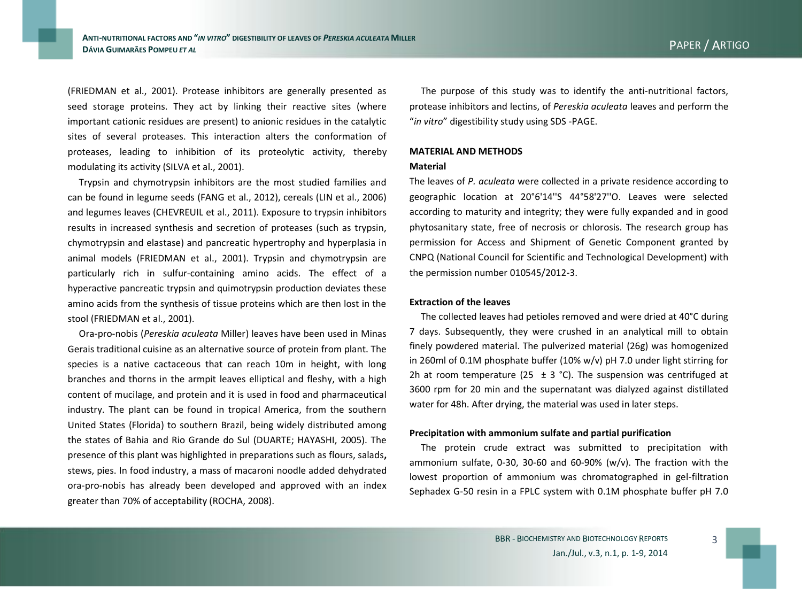(FRIEDMAN et al., 2001). Protease inhibitors are generally presented as seed storage proteins. They act by linking their reactive sites (where important cationic residues are present) to anionic residues in the catalytic sites of several proteases. This interaction alters the conformation of proteases, leading to inhibition of its proteolytic activity, thereby modulating its activity (SILVA et al., 2001).

Trypsin and chymotrypsin inhibitors are the most studied families and can be found in legume seeds (FANG et al., 2012), cereals (LIN et al., 2006) and legumes leaves (CHEVREUIL et al., 2011). Exposure to trypsin inhibitors results in increased synthesis and secretion of proteases (such as trypsin, chymotrypsin and elastase) and pancreatic hypertrophy and hyperplasia in animal models (FRIEDMAN et al., 2001). Trypsin and chymotrypsin are particularly rich in sulfur-containing amino acids. The effect of a hyperactive pancreatic trypsin and quimotrypsin production deviates these amino acids from the synthesis of tissue proteins which are then lost in the stool (FRIEDMAN et al., 2001).

Ora-pro-nobis (*Pereskia aculeata* Miller) leaves have been used in Minas Gerais traditional cuisine as an alternative source of protein from plant. The species is a native cactaceous that can reach 10m in height, with long branches and thorns in the armpit leaves elliptical and fleshy, with a high content of mucilage, and protein and it is used in food and pharmaceutical industry. The plant can be found in tropical America, from the southern United States (Florida) to southern Brazil, being widely distributed among the states of Bahia and Rio Grande do Sul (DUARTE; HAYASHI, 2005). The presence of this plant was highlighted in preparations such as flours, salads**,**  stews, pies. In food industry, a mass of macaroni noodle added dehydrated ora-pro-nobis has already been developed and approved with an index greater than 70% of acceptability (ROCHA, 2008).

The purpose of this study was to identify the anti-nutritional factors, protease inhibitors and lectins, of *Pereskia aculeata* leaves and perform the "*in vitro*" digestibility study using SDS -PAGE.

# **MATERIAL AND METHODS**

#### **Material**

The leaves of *P. aculeata* were collected in a private residence according to geographic location at 20°6'14''S 44°58'27''O. Leaves were selected according to maturity and integrity; they were fully expanded and in good phytosanitary state, free of necrosis or chlorosis. The research group has permission for Access and Shipment of Genetic Component granted by CNPQ (National Council for Scientific and Technological Development) with the permission number 010545/2012-3.

## **Extraction of the leaves**

The collected leaves had petioles removed and were dried at 40°C during 7 days. Subsequently, they were crushed in an analytical mill to obtain finely powdered material. The pulverized material (26g) was homogenized in 260ml of 0.1M phosphate buffer (10% w/v) pH 7.0 under light stirring for 2h at room temperature (25  $\pm$  3 °C). The suspension was centrifuged at 3600 rpm for 20 min and the supernatant was dialyzed against distillated water for 48h. After drying, the material was used in later steps.

## **Precipitation with ammonium sulfate and partial purification**

The protein crude extract was submitted to precipitation with ammonium sulfate, 0-30, 30-60 and 60-90% ( $w/v$ ). The fraction with the lowest proportion of ammonium was chromatographed in gel-filtration Sephadex G-50 resin in a FPLC system with 0.1M phosphate buffer pH 7.0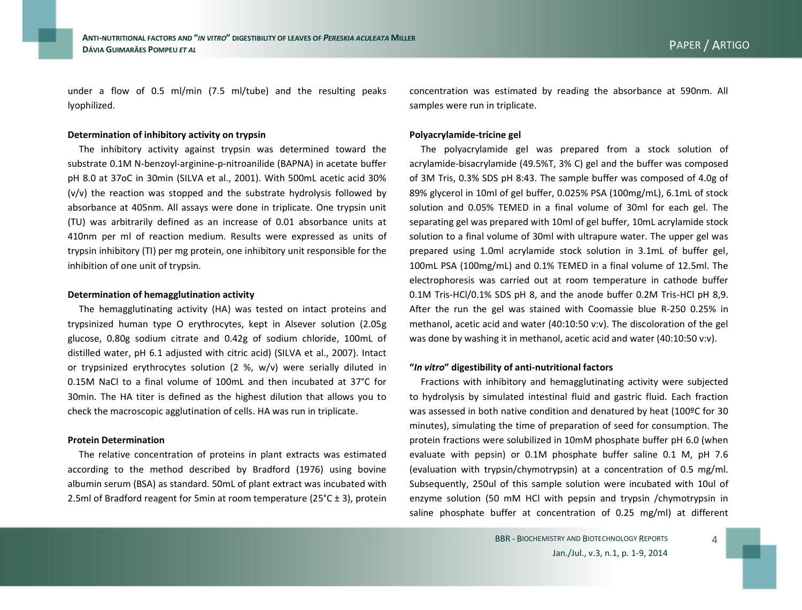under a flow of 0.5 ml/min (7.5 ml/tube) and the resulting peaks lyophilized.

### **Determination of inhibitory activity on trypsin**

The inhibitory activity against trypsin was determined toward the substrate 0.1M N-benzoyl-arginine-p-nitroanilide (BAPNA) in acetate buffer pH 8.0 at 37oC in 30min (SILVA et al., 2001). With 500mL acetic acid 30% (v/v) the reaction was stopped and the substrate hydrolysis followed by absorbance at 405nm. All assays were done in triplicate. One trypsin unit (TU) was arbitrarily defined as an increase of 0.01 absorbance units at 410nm per ml of reaction medium. Results were expressed as units of trypsin inhibitory (TI) per mg protein, one inhibitory unit responsible for the inhibition of one unit of trypsin.

### **Determination of hemagglutination activity**

The hemagglutinating activity (HA) was tested on intact proteins and trypsinized human type O erythrocytes, kept in Alsever solution (2.05g glucose, 0.80g sodium citrate and 0.42g of sodium chloride, 100mL of distilled water, pH 6.1 adjusted with citric acid) (SILVA et al., 2007). Intact or trypsinized erythrocytes solution (2 %, w/v) were serially diluted in 0.15M NaCl to a final volume of 100mL and then incubated at 37°C for 30min. The HA titer is defined as the highest dilution that allows you to check the macroscopic agglutination of cells. HA was run in triplicate.

#### **Protein Determination**

The relative concentration of proteins in plant extracts was estimated according to the method described by Bradford (1976) using bovine albumin serum (BSA) as standard. 50mL of plant extract was incubated with 2.5ml of Bradford reagent for 5min at room temperature ( $25^{\circ}$ C ± 3), protein

concentration was estimated by reading the absorbance at 590nm. All samples were run in triplicate.

#### **Polyacrylamide-tricine gel**

The polyacrylamide gel was prepared from a stock solution of acrylamide-bisacrylamide (49.5%T, 3% C) gel and the buffer was composed of 3M Tris, 0.3% SDS pH 8:43. The sample buffer was composed of 4.0g of 89% glycerol in 10ml of gel buffer, 0.025% PSA (100mg/mL), 6.1mL of stock solution and 0.05% TEMED in a final volume of 30ml for each gel. The separating gel was prepared with 10ml of gel buffer, 10mL acrylamide stock solution to a final volume of 30ml with ultrapure water. The upper gel was prepared using 1.0ml acrylamide stock solution in 3.1mL of buffer gel, 100mL PSA (100mg/mL) and 0.1% TEMED in a final volume of 12.5ml. The electrophoresis was carried out at room temperature in cathode buffer 0.1M Tris-HCl/0.1% SDS pH 8, and the anode buffer 0.2M Tris-HCl pH 8,9. After the run the gel was stained with Coomassie blue R-250 0.25% in methanol, acetic acid and water (40:10:50 v:v). The discoloration of the gel was done by washing it in methanol, acetic acid and water (40:10:50 v:v).

### **"***In vitro***" digestibility of anti-nutritional factors**

Fractions with inhibitory and hemagglutinating activity were subjected to hydrolysis by simulated intestinal fluid and gastric fluid. Each fraction was assessed in both native condition and denatured by heat (100ºC for 30 minutes), simulating the time of preparation of seed for consumption. The protein fractions were solubilized in 10mM phosphate buffer pH 6.0 (when evaluate with pepsin) or 0.1M phosphate buffer saline 0.1 M, pH 7.6 (evaluation with trypsin/chymotrypsin) at a concentration of 0.5 mg/ml. Subsequently, 250ul of this sample solution were incubated with 10ul of enzyme solution (50 mM HCl with pepsin and trypsin /chymotrypsin in saline phosphate buffer at concentration of 0.25 mg/ml) at different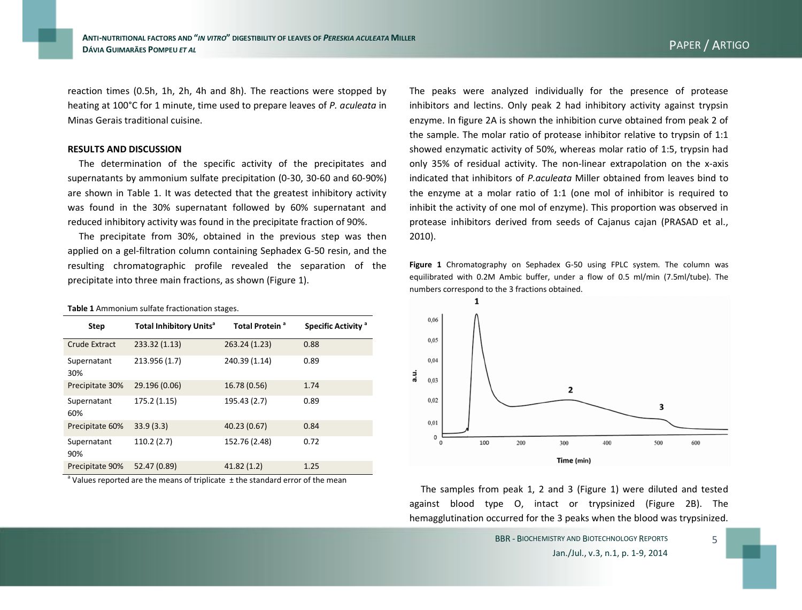reaction times (0.5h, 1h, 2h, 4h and 8h). The reactions were stopped by heating at 100°C for 1 minute, time used to prepare leaves of *P. aculeata* in Minas Gerais traditional cuisine.

#### **RESULTS AND DISCUSSION**

**Table 1** Ammonium sulfate fractionation stages.

The determination of the specific activity of the precipitates and supernatants by ammonium sulfate precipitation (0-30, 30-60 and 60-90%) are shown in Table 1. It was detected that the greatest inhibitory activity was found in the 30% supernatant followed by 60% supernatant and reduced inhibitory activity was found in the precipitate fraction of 90%.

The precipitate from 30%, obtained in the previous step was then applied on a gel-filtration column containing Sephadex G-50 resin, and the resulting chromatographic profile revealed the separation of the precipitate into three main fractions, as shown (Figure 1).

| <b>Step</b>          | <b>Total Inhibitory Units<sup>a</sup></b> | Total Protein <sup>a</sup> | Specific Activity <sup>a</sup> |
|----------------------|-------------------------------------------|----------------------------|--------------------------------|
| <b>Crude Extract</b> | 233.32 (1.13)                             | 263.24 (1.23)              | 0.88                           |
| Supernatant<br>30%   | 213.956 (1.7)                             | 240.39 (1.14)              | 0.89                           |
| Precipitate 30%      | 29.196 (0.06)                             | 16.78 (0.56)               | 1.74                           |
| Supernatant<br>60%   | 175.2 (1.15)                              | 195.43 (2.7)               | 0.89                           |
| Precipitate 60%      | 33.9(3.3)                                 | 40.23 (0.67)               | 0.84                           |
| Supernatant<br>90%   | 110.2(2.7)                                | 152.76 (2.48)              | 0.72                           |
| Precipitate 90%      | 52.47 (0.89)                              | 41.82(1.2)                 | 1.25                           |

 $^{\circ}$  Values reported are the means of triplicate  $\pm$  the standard error of the mean

The peaks were analyzed individually for the presence of protease inhibitors and lectins. Only peak 2 had inhibitory activity against trypsin enzyme. In figure 2A is shown the inhibition curve obtained from peak 2 of the sample. The molar ratio of protease inhibitor relative to trypsin of 1:1 showed enzymatic activity of 50%, whereas molar ratio of 1:5, trypsin had only 35% of residual activity. The non-linear extrapolation on the x-axis indicated that inhibitors of *P.aculeata* Miller obtained from leaves bind to the enzyme at a molar ratio of 1:1 (one mol of inhibitor is required to inhibit the activity of one mol of enzyme). This proportion was observed in protease inhibitors derived from seeds of Cajanus cajan (PRASAD et al., 2010).

**Figure 1** Chromatography on Sephadex G-50 using FPLC system. The column was equilibrated with 0.2M Ambic buffer, under a flow of 0.5 ml/min (7.5ml/tube). The numbers correspond to the 3 fractions obtained.



The samples from peak 1, 2 and 3 (Figure 1) were diluted and tested against blood type O, intact or trypsinized (Figure 2B). The hemagglutination occurred for the 3 peaks when the blood was trypsinized.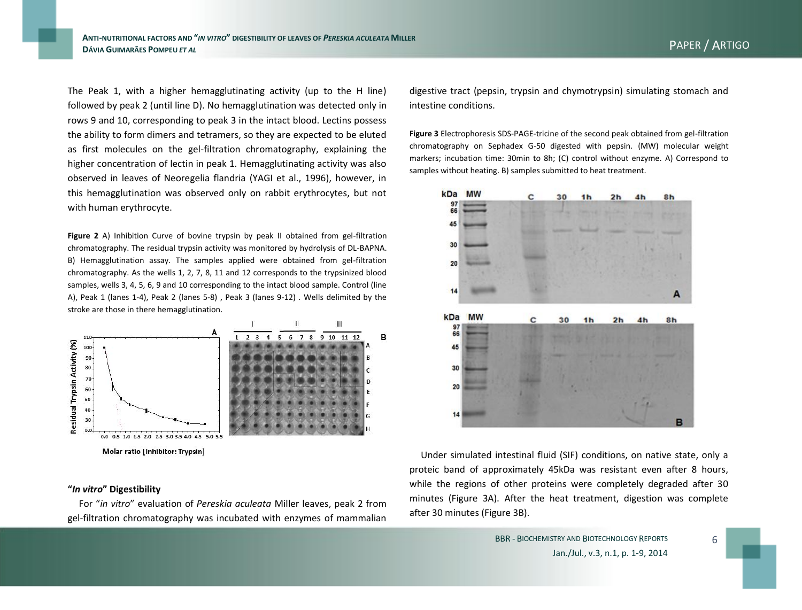digestive tract (pepsin, trypsin and chymotrypsin) simulating stomach and intestine conditions.

> **Figure 3** Electrophoresis SDS-PAGE-tricine of the second peak obtained from gel-filtration chromatography on Sephadex G-50 digested with pepsin. (MW) molecular weight markers; incubation time: 30min to 8h; (C) control without enzyme. A) Correspond to samples without heating. B) samples submitted to heat treatment.



Under simulated intestinal fluid (SIF) conditions, on native state, only a proteic band of approximately 45kDa was resistant even after 8 hours, while the regions of other proteins were completely degraded after 30 minutes (Figure 3A). After the heat treatment, digestion was complete after 30 minutes (Figure 3B).

The Peak 1, with a higher hemagglutinating activity (up to the H line) followed by peak 2 (until line D). No hemagglutination was detected only in rows 9 and 10, corresponding to peak 3 in the intact blood. Lectins possess the ability to form dimers and tetramers, so they are expected to be eluted as first molecules on the gel-filtration chromatography, explaining the higher concentration of lectin in peak 1. Hemagglutinating activity was also observed in leaves of Neoregelia flandria (YAGI et al., 1996), however, in this hemagglutination was observed only on rabbit erythrocytes, but not with human erythrocyte.

**Figure 2** A) Inhibition Curve of bovine trypsin by peak II obtained from gel-filtration chromatography. The residual trypsin activity was monitored by hydrolysis of DL-BAPNA. B) Hemagglutination assay. The samples applied were obtained from gel-filtration chromatography. As the wells 1, 2, 7, 8, 11 and 12 corresponds to the trypsinized blood samples, wells 3, 4, 5, 6, 9 and 10 corresponding to the intact blood sample. Control (line A), Peak 1 (lanes 1-4), Peak 2 (lanes 5-8) , Peak 3 (lanes 9-12) . Wells delimited by the stroke are those in there hemagglutination.



# **"***In vitro***" Digestibility**

For "*in vitro*" evaluation of *Pereskia aculeata* Miller leaves, peak 2 from gel-filtration chromatography was incubated with enzymes of mammalian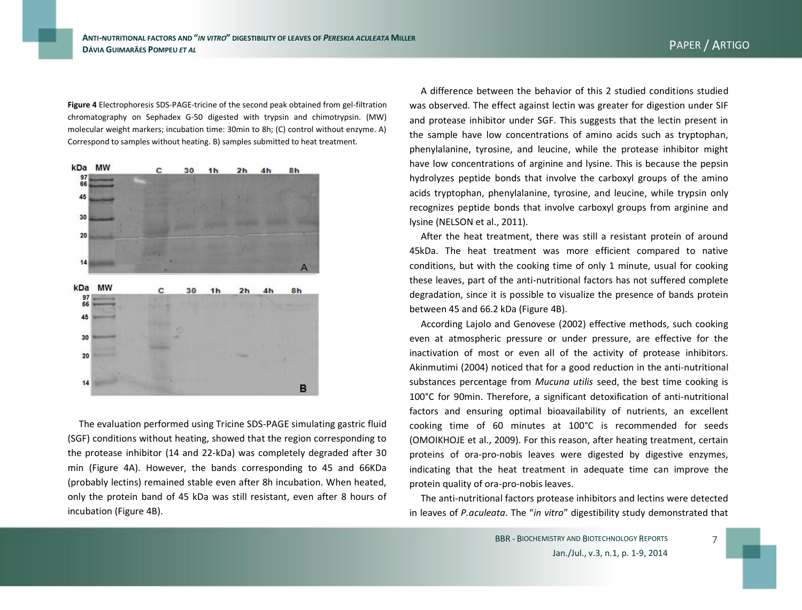**Figure 4** Electrophoresis SDS-PAGE-tricine of the second peak obtained from gel-filtration chromatography on Sephadex G-50 digested with trypsin and chimotrypsin. (MW) molecular weight markers; incubation time: 30min to 8h; (C) control without enzyme. A) Correspond to samples without heating. B) samples submitted to heat treatment.



The evaluation performed using Tricine SDS-PAGE simulating gastric fluid (SGF) conditions without heating, showed that the region corresponding to the protease inhibitor (14 and 22-kDa) was completely degraded after 30 min (Figure 4A). However, the bands corresponding to 45 and 66KDa (probably lectins) remained stable even after 8h incubation. When heated, only the protein band of 45 kDa was still resistant, even after 8 hours of incubation (Figure 4B).

A difference between the behavior of this 2 studied conditions studied was observed. The effect against lectin was greater for digestion under SIF and protease inhibitor under SGF. This suggests that the lectin present in the sample have low concentrations of amino acids such as tryptophan, phenylalanine, tyrosine, and leucine, while the protease inhibitor might have low concentrations of arginine and lysine. This is because the pepsin hydrolyzes peptide bonds that involve the carboxyl groups of the amino acids tryptophan, phenylalanine, tyrosine, and leucine, while trypsin only recognizes peptide bonds that involve carboxyl groups from arginine and lysine (NELSON et al., 2011).

After the heat treatment, there was still a resistant protein of around 45kDa. The heat treatment was more efficient compared to native conditions, but with the cooking time of only 1 minute, usual for cooking these leaves, part of the anti-nutritional factors has not suffered complete degradation, since it is possible to visualize the presence of bands protein between 45 and 66.2 kDa (Figure 4B).

According Lajolo and Genovese (2002) effective methods, such cooking even at atmospheric pressure or under pressure, are effective for the inactivation of most or even all of the activity of protease inhibitors. Akinmutimi (2004) noticed that for a good reduction in the anti-nutritional substances percentage from *Mucuna utilis* seed, the best time cooking is 100°C for 90min. Therefore, a significant detoxification of anti-nutritional factors and ensuring optimal bioavailability of nutrients, an excellent cooking time of 60 minutes at 100°C is recommended for seeds (OMOIKHOJE et al., 2009). For this reason, after heating treatment, certain proteins of ora-pro-nobis leaves were digested by digestive enzymes, indicating that the heat treatment in adequate time can improve the protein quality of ora-pro-nobis leaves.

The anti-nutritional factors protease inhibitors and lectins were detected in leaves of *P.aculeata*. The "*in vitro*" digestibility study demonstrated that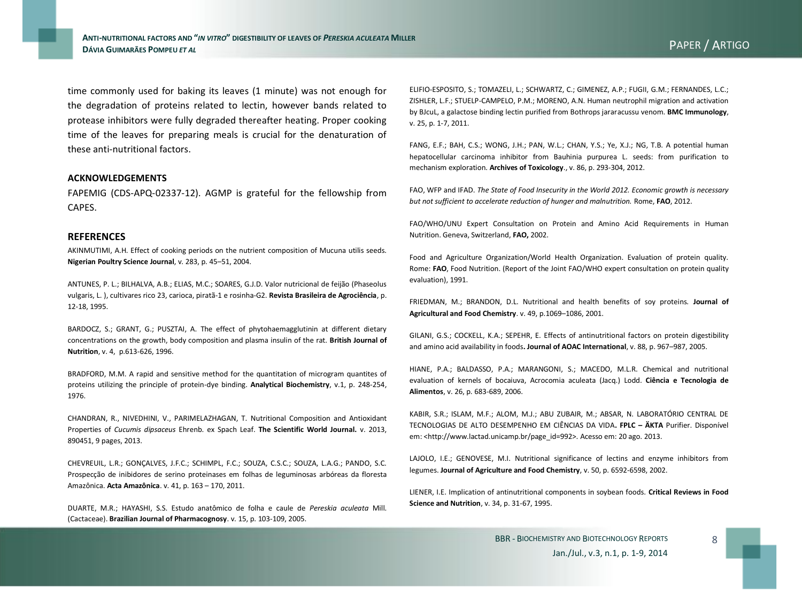**ANTI-NUTRITIONAL FACTORS AND "***IN VITRO***" DIGESTIBILITY OF LEAVES OF** *PERESKIA ACULEATA* **MILLER <sup>D</sup>ÁVIA GUIMARÃES POMPEU** *ET AL* PAPER / ARTIGO

time commonly used for baking its leaves (1 minute) was not enough for the degradation of proteins related to lectin, however bands related to protease inhibitors were fully degraded thereafter heating. Proper cooking time of the leaves for preparing meals is crucial for the denaturation of these anti-nutritional factors.

#### **ACKNOWLEDGEMENTS**

FAPEMIG (CDS-APQ-02337-12). AGMP is grateful for the fellowship from CAPES.

### **REFERENCES**

AKINMUTIMI, A.H. Effect of cooking periods on the nutrient composition of Mucuna utilis seeds. **Nigerian Poultry Science Journal**, v. 283, p. 45–51, 2004.

ANTUNES, P. L.; BILHALVA, A.B.; ELIAS, M.C.; SOARES, G.J.D. Valor nutricional de feijão (Phaseolus vulgaris, L. ), cultivares rico 23, carioca, piratã-1 e rosinha-G2. **Revista Brasileira de Agrociência**, p. 12-18, 1995.

BARDOCZ, S.; GRANT, G.; PUSZTAI, A. The effect of phytohaemagglutinin at different dietary concentrations on the growth, body composition and plasma insulin of the rat. **British Journal of Nutrition**, v. 4, p.613-626, 1996.

BRADFORD, M.M. A rapid and sensitive method for the quantitation of microgram quantites of proteins utilizing the principle of protein-dye binding. **Analytical Biochemistry**, v.1, p. 248-254, 1976.

CHANDRAN, R., NIVEDHINI, V., PARIMELAZHAGAN, T. Nutritional Composition and Antioxidant Properties of *Cucumis dipsaceus* Ehrenb. ex Spach Leaf. **The Scientific World Journal.** v. 2013, 890451, 9 pages, 2013.

CHEVREUIL, L.R.; GONÇALVES, J.F.C.; SCHIMPL, F.C.; SOUZA, C.S.C.; SOUZA, L.A.G.; PANDO, S.C. Prospecção de inibidores de serino proteinases em folhas de leguminosas arbóreas da floresta Amazônica. **Acta Amazônica**. v. 41, p. 163 – 170, 2011.

DUARTE, M.R.; HAYASHI, S.S. Estudo anatômico de folha e caule de *Pereskia aculeata* Mill. (Cactaceae). **Brazilian Journal of Pharmacognosy**. v. 15, p. 103-109, 2005.

ELIFIO-ESPOSITO, S.; TOMAZELI, L.; SCHWARTZ, C.; GIMENEZ, A.P.; FUGII, G.M.; FERNANDES, L.C.; ZISHLER, L.F.; STUELP-CAMPELO, P.M.; MORENO, A.N. Human neutrophil migration and activation by BJcuL, a galactose binding lectin purified from Bothrops jararacussu venom. **BMC Immunology**, v. 25, p. 1-7, 2011.

FANG, E.F.; BAH, C.S.; WONG, J.H.; PAN, W.L.; CHAN, Y.S.; Ye, X.J.; NG, T.B. A potential human hepatocellular carcinoma inhibitor from Bauhinia purpurea L. seeds: from purification to mechanism exploration. **Archives of Toxicology**., v. 86, p. 293-304, 2012.

FAO, WFP and IFAD. *The State of Food Insecurity in the World 2012. Economic growth is necessary but not sufficient to accelerate reduction of hunger and malnutrition.* Rome, **FAO**, 2012.

FAO/WHO/UNU Expert Consultation on Protein and Amino Acid Requirements in Human Nutrition. Geneva, Switzerland, **FAO,** 2002.

Food and Agriculture Organization/World Health Organization. Evaluation of protein quality. Rome: **FAO**, Food Nutrition. (Report of the Joint FAO/WHO expert consultation on protein quality evaluation), 1991.

FRIEDMAN, M.; BRANDON, D.L. Nutritional and health benefits of soy proteins. **Journal of Agricultural and Food Chemistry**. v. 49, p.1069–1086, 2001.

GILANI, G.S.; COCKELL, K.A.; SEPEHR, E. Effects of antinutritional factors on protein digestibility and amino acid availability in foods**. Journal of AOAC International**, v. 88, p. 967–987, 2005.

HIANE, P.A.; BALDASSO, P.A.; MARANGONI, S.; MACEDO, M.L.R. Chemical and nutritional evaluation of kernels of bocaiuva, Acrocomia aculeata (Jacq.) Lodd. **Ciência e Tecnologia de Alimentos**, v. 26, p. 683-689, 2006.

KABIR, S.R.; ISLAM, M.F.; ALOM, M.J.; ABU ZUBAIR, M.; ABSAR, N. LABORATÓRIO CENTRAL DE TECNOLOGIAS DE ALTO DESEMPENHO EM CIÊNCIAS DA VIDA**. FPLC – ÄKTA** Purifier. Disponível em: <http://www.lactad.unicamp.br/page\_id=992>. Acesso em: 20 ago. 2013.

LAJOLO, I.E.; GENOVESE, M.I. Nutritional significance of lectins and enzyme inhibitors from legumes. **Journal of Agriculture and Food Chemistry**, v. 50, p. 6592-6598, 2002.

LIENER, I.E. Implication of antinutritional components in soybean foods. **Critical Reviews in Food Science and Nutrition**, v. 34, p. 31-67, 1995.